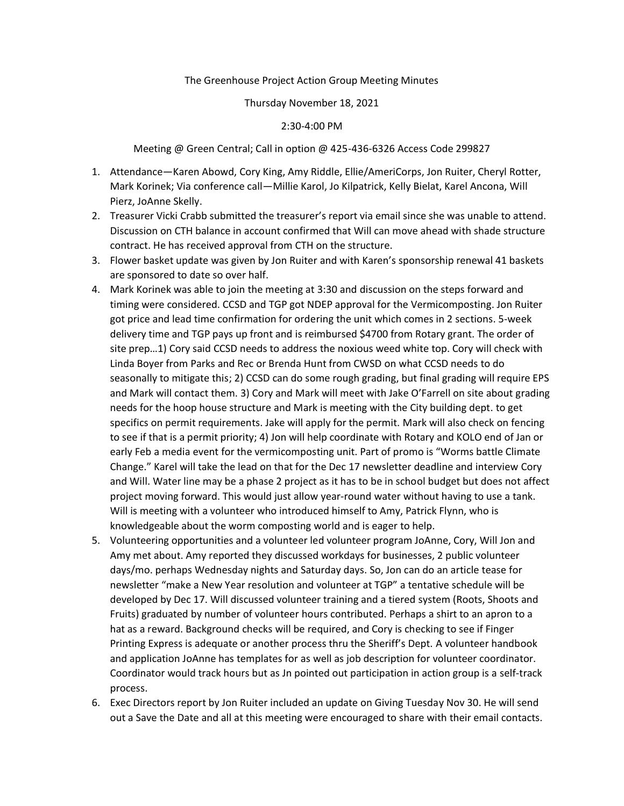## The Greenhouse Project Action Group Meeting Minutes

### Thursday November 18, 2021

## 2:30-4:00 PM

Meeting @ Green Central; Call in option @ 425-436-6326 Access Code 299827

- 1. Attendance—Karen Abowd, Cory King, Amy Riddle, Ellie/AmeriCorps, Jon Ruiter, Cheryl Rotter, Mark Korinek; Via conference call—Millie Karol, Jo Kilpatrick, Kelly Bielat, Karel Ancona, Will Pierz, JoAnne Skelly.
- 2. Treasurer Vicki Crabb submitted the treasurer's report via email since she was unable to attend. Discussion on CTH balance in account confirmed that Will can move ahead with shade structure contract. He has received approval from CTH on the structure.
- 3. Flower basket update was given by Jon Ruiter and with Karen's sponsorship renewal 41 baskets are sponsored to date so over half.
- 4. Mark Korinek was able to join the meeting at 3:30 and discussion on the steps forward and timing were considered. CCSD and TGP got NDEP approval for the Vermicomposting. Jon Ruiter got price and lead time confirmation for ordering the unit which comes in 2 sections. 5-week delivery time and TGP pays up front and is reimbursed \$4700 from Rotary grant. The order of site prep…1) Cory said CCSD needs to address the noxious weed white top. Cory will check with Linda Boyer from Parks and Rec or Brenda Hunt from CWSD on what CCSD needs to do seasonally to mitigate this; 2) CCSD can do some rough grading, but final grading will require EPS and Mark will contact them. 3) Cory and Mark will meet with Jake O'Farrell on site about grading needs for the hoop house structure and Mark is meeting with the City building dept. to get specifics on permit requirements. Jake will apply for the permit. Mark will also check on fencing to see if that is a permit priority; 4) Jon will help coordinate with Rotary and KOLO end of Jan or early Feb a media event for the vermicomposting unit. Part of promo is "Worms battle Climate Change." Karel will take the lead on that for the Dec 17 newsletter deadline and interview Cory and Will. Water line may be a phase 2 project as it has to be in school budget but does not affect project moving forward. This would just allow year-round water without having to use a tank. Will is meeting with a volunteer who introduced himself to Amy, Patrick Flynn, who is knowledgeable about the worm composting world and is eager to help.
- 5. Volunteering opportunities and a volunteer led volunteer program JoAnne, Cory, Will Jon and Amy met about. Amy reported they discussed workdays for businesses, 2 public volunteer days/mo. perhaps Wednesday nights and Saturday days. So, Jon can do an article tease for newsletter "make a New Year resolution and volunteer at TGP" a tentative schedule will be developed by Dec 17. Will discussed volunteer training and a tiered system (Roots, Shoots and Fruits) graduated by number of volunteer hours contributed. Perhaps a shirt to an apron to a hat as a reward. Background checks will be required, and Cory is checking to see if Finger Printing Express is adequate or another process thru the Sheriff's Dept. A volunteer handbook and application JoAnne has templates for as well as job description for volunteer coordinator. Coordinator would track hours but as Jn pointed out participation in action group is a self-track process.
- 6. Exec Directors report by Jon Ruiter included an update on Giving Tuesday Nov 30. He will send out a Save the Date and all at this meeting were encouraged to share with their email contacts.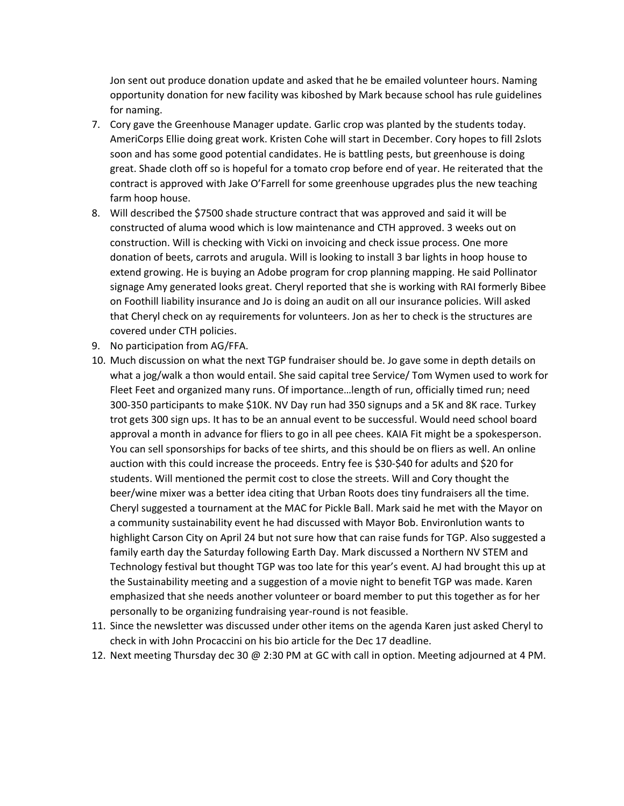Jon sent out produce donation update and asked that he be emailed volunteer hours. Naming opportunity donation for new facility was kiboshed by Mark because school has rule guidelines for naming.

- 7. Cory gave the Greenhouse Manager update. Garlic crop was planted by the students today. AmeriCorps Ellie doing great work. Kristen Cohe will start in December. Cory hopes to fill 2slots soon and has some good potential candidates. He is battling pests, but greenhouse is doing great. Shade cloth off so is hopeful for a tomato crop before end of year. He reiterated that the contract is approved with Jake O'Farrell for some greenhouse upgrades plus the new teaching farm hoop house.
- 8. Will described the \$7500 shade structure contract that was approved and said it will be constructed of aluma wood which is low maintenance and CTH approved. 3 weeks out on construction. Will is checking with Vicki on invoicing and check issue process. One more donation of beets, carrots and arugula. Will is looking to install 3 bar lights in hoop house to extend growing. He is buying an Adobe program for crop planning mapping. He said Pollinator signage Amy generated looks great. Cheryl reported that she is working with RAI formerly Bibee on Foothill liability insurance and Jo is doing an audit on all our insurance policies. Will asked that Cheryl check on ay requirements for volunteers. Jon as her to check is the structures are covered under CTH policies.
- 9. No participation from AG/FFA.
- 10. Much discussion on what the next TGP fundraiser should be. Jo gave some in depth details on what a jog/walk a thon would entail. She said capital tree Service/ Tom Wymen used to work for Fleet Feet and organized many runs. Of importance…length of run, officially timed run; need 300-350 participants to make \$10K. NV Day run had 350 signups and a 5K and 8K race. Turkey trot gets 300 sign ups. It has to be an annual event to be successful. Would need school board approval a month in advance for fliers to go in all pee chees. KAIA Fit might be a spokesperson. You can sell sponsorships for backs of tee shirts, and this should be on fliers as well. An online auction with this could increase the proceeds. Entry fee is \$30-\$40 for adults and \$20 for students. Will mentioned the permit cost to close the streets. Will and Cory thought the beer/wine mixer was a better idea citing that Urban Roots does tiny fundraisers all the time. Cheryl suggested a tournament at the MAC for Pickle Ball. Mark said he met with the Mayor on a community sustainability event he had discussed with Mayor Bob. Environlution wants to highlight Carson City on April 24 but not sure how that can raise funds for TGP. Also suggested a family earth day the Saturday following Earth Day. Mark discussed a Northern NV STEM and Technology festival but thought TGP was too late for this year's event. AJ had brought this up at the Sustainability meeting and a suggestion of a movie night to benefit TGP was made. Karen emphasized that she needs another volunteer or board member to put this together as for her personally to be organizing fundraising year-round is not feasible.
- 11. Since the newsletter was discussed under other items on the agenda Karen just asked Cheryl to check in with John Procaccini on his bio article for the Dec 17 deadline.
- 12. Next meeting Thursday dec 30 @ 2:30 PM at GC with call in option. Meeting adjourned at 4 PM.